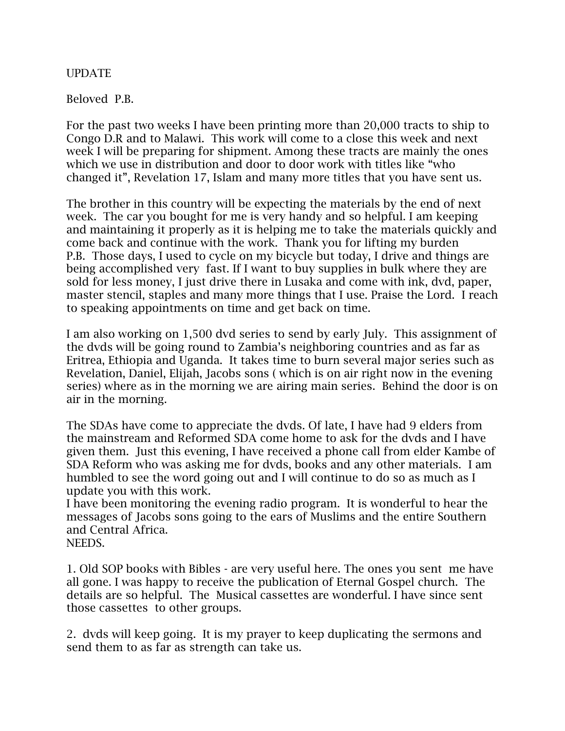UPDATE

Beloved P.B.

For the past two weeks I have been printing more than 20,000 tracts to ship to Congo D.R and to Malawi. This work will come to a close this week and next week I will be preparing for shipment. Among these tracts are mainly the ones which we use in distribution and door to door work with titles like "who changed it", Revelation 17, Islam and many more titles that you have sent us.

The brother in this country will be expecting the materials by the end of next week. The car you bought for me is very handy and so helpful. I am keeping and maintaining it properly as it is helping me to take the materials quickly and come back and continue with the work. Thank you for lifting my burden P.B. Those days, I used to cycle on my bicycle but today, I drive and things are being accomplished very fast. If I want to buy supplies in bulk where they are sold for less money, I just drive there in Lusaka and come with ink, dvd, paper, master stencil, staples and many more things that I use. Praise the Lord. I reach to speaking appointments on time and get back on time.

I am also working on 1,500 dvd series to send by early July. This assignment of the dvds will be going round to Zambia's neighboring countries and as far as Eritrea, Ethiopia and Uganda. It takes time to burn several major series such as Revelation, Daniel, Elijah, Jacobs sons ( which is on air right now in the evening series) where as in the morning we are airing main series. Behind the door is on air in the morning.

The SDAs have come to appreciate the dvds. Of late, I have had 9 elders from the mainstream and Reformed SDA come home to ask for the dvds and I have given them. Just this evening, I have received a phone call from elder Kambe of SDA Reform who was asking me for dvds, books and any other materials. I am humbled to see the word going out and I will continue to do so as much as I update you with this work.

I have been monitoring the evening radio program. It is wonderful to hear the messages of Jacobs sons going to the ears of Muslims and the entire Southern and Central Africa.

NEEDS.

1. Old SOP books with Bibles - are very useful here. The ones you sent me have all gone. I was happy to receive the publication of Eternal Gospel church. The details are so helpful. The Musical cassettes are wonderful. I have since sent those cassettes to other groups.

2. dvds will keep going. It is my prayer to keep duplicating the sermons and send them to as far as strength can take us.